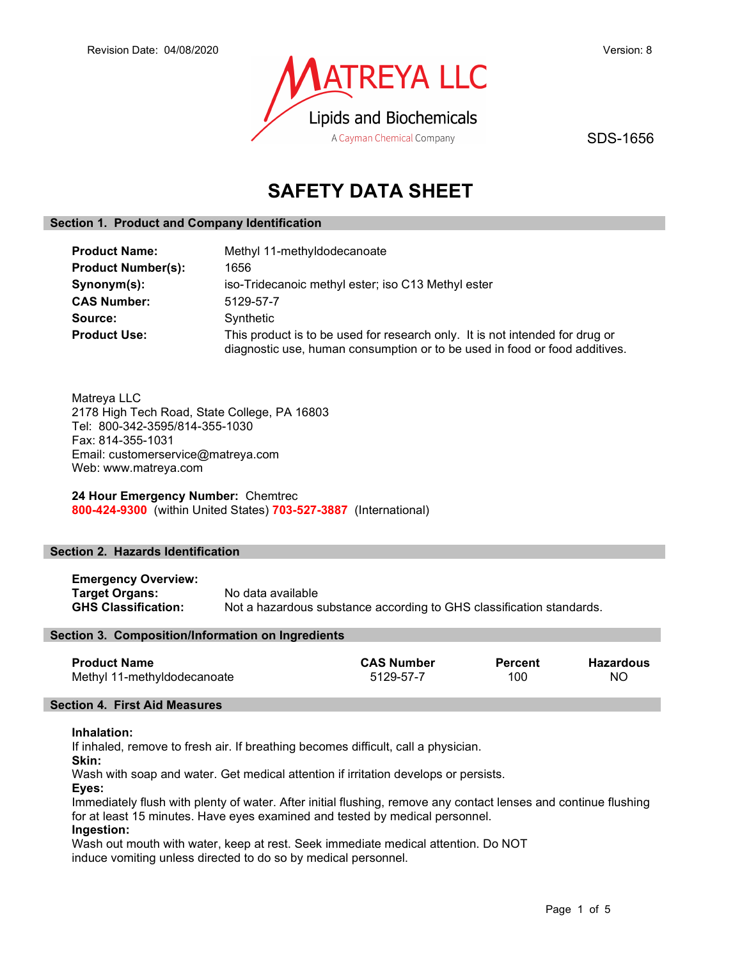

SDS-1656

# SAFETY DATA SHEET

# Section 1. Product and Company Identification

| <b>Product Name:</b>      | Methyl 11-methyldodecanoate                                                                                                                                |  |
|---------------------------|------------------------------------------------------------------------------------------------------------------------------------------------------------|--|
| <b>Product Number(s):</b> | 1656                                                                                                                                                       |  |
| Synonym(s):               | iso-Tridecanoic methyl ester; iso C13 Methyl ester                                                                                                         |  |
| <b>CAS Number:</b>        | 5129-57-7                                                                                                                                                  |  |
| Source:                   | Synthetic                                                                                                                                                  |  |
| <b>Product Use:</b>       | This product is to be used for research only. It is not intended for drug or<br>diagnostic use, human consumption or to be used in food or food additives. |  |

Matreya LLC 2178 High Tech Road, State College, PA 16803 Tel: 800-342-3595/814-355-1030 Fax: 814-355-1031 Email: customerservice@matreya.com Web: www.matreya.com

24 Hour Emergency Number: Chemtrec 800-424-9300 (within United States) 703-527-3887 (International)

# Section 2. Hazards Identification

Emergency Overview: **Target Organs:** No data available<br> **GHS Classification:** Not a hazardous s Not a hazardous substance according to GHS classification standards.

# Section 3. Composition/Information on Ingredients

| <b>Product Name</b>         | <b>CAS Number</b> | <b>Percent</b> | <b>Hazardous</b> |
|-----------------------------|-------------------|----------------|------------------|
| Methyl 11-methyldodecanoate | 5129-57-7         | 100            | NO               |

# Section 4. First Aid Measures

# Inhalation:

If inhaled, remove to fresh air. If breathing becomes difficult, call a physician.

Skin:

Wash with soap and water. Get medical attention if irritation develops or persists.

Eyes:

Immediately flush with plenty of water. After initial flushing, remove any contact lenses and continue flushing for at least 15 minutes. Have eyes examined and tested by medical personnel.

# Ingestion:

Wash out mouth with water, keep at rest. Seek immediate medical attention. Do NOT induce vomiting unless directed to do so by medical personnel.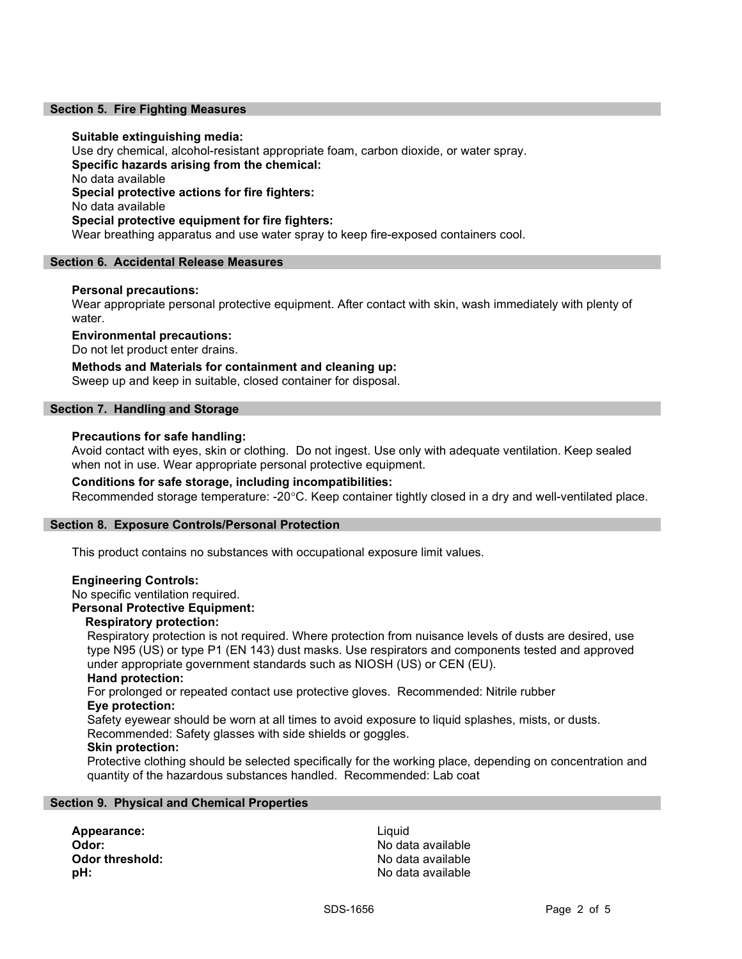#### Section 5. Fire Fighting Measures

#### Suitable extinguishing media:

Use dry chemical, alcohol-resistant appropriate foam, carbon dioxide, or water spray. Specific hazards arising from the chemical: No data available Special protective actions for fire fighters: No data available Special protective equipment for fire fighters: Wear breathing apparatus and use water spray to keep fire-exposed containers cool.

#### Section 6. Accidental Release Measures

### Personal precautions:

Wear appropriate personal protective equipment. After contact with skin, wash immediately with plenty of water.

### Environmental precautions:

Do not let product enter drains.

Methods and Materials for containment and cleaning up: Sweep up and keep in suitable, closed container for disposal.

#### Section 7. Handling and Storage

#### Precautions for safe handling:

Avoid contact with eyes, skin or clothing. Do not ingest. Use only with adequate ventilation. Keep sealed when not in use. Wear appropriate personal protective equipment.

#### Conditions for safe storage, including incompatibilities:

Recommended storage temperature: -20°C. Keep container tightly closed in a dry and well-ventilated place.

#### Section 8. Exposure Controls/Personal Protection

This product contains no substances with occupational exposure limit values.

#### Engineering Controls:

No specific ventilation required.

#### Personal Protective Equipment:

### Respiratory protection:

Respiratory protection is not required. Where protection from nuisance levels of dusts are desired, use type N95 (US) or type P1 (EN 143) dust masks. Use respirators and components tested and approved under appropriate government standards such as NIOSH (US) or CEN (EU).

# Hand protection:

For prolonged or repeated contact use protective gloves. Recommended: Nitrile rubber Eye protection:

Safety eyewear should be worn at all times to avoid exposure to liquid splashes, mists, or dusts.

# Recommended: Safety glasses with side shields or goggles.

# Skin protection:

Protective clothing should be selected specifically for the working place, depending on concentration and quantity of the hazardous substances handled. Recommended: Lab coat

#### Section 9. Physical and Chemical Properties

Appearance: Liquid **Odor:** No data available Odor threshold: Contract the Society of the No data available **pH:**  $\blacksquare$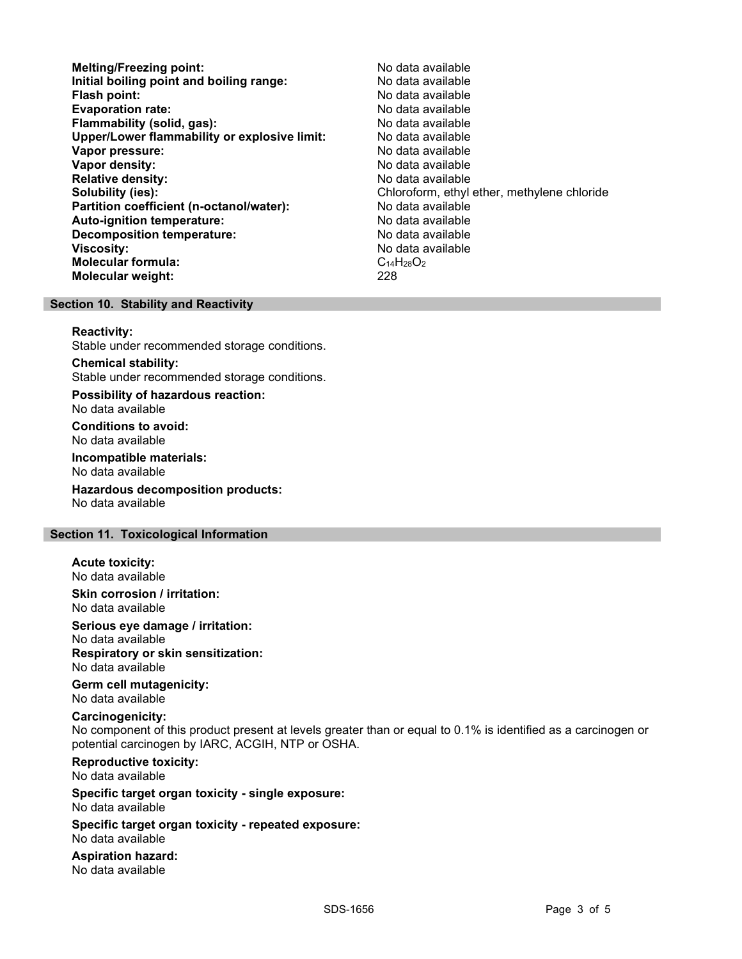- Melting/Freezing point: Melting/Freezing point: Initial boiling point and boiling range: No data available Flash point: No data available **Evaporation rate:** No data available Flammability (solid, gas): No data available Upper/Lower flammability or explosive limit: No data available Vapor pressure: No data available Vapor density: No data available Relative density: No data available Solubility (ies):<br> **Solubility (ies):** Chloroform, ethyl ether, methylene chloride<br>
No data available Partition coefficient (n-octanol/water): Auto-ignition temperature: No data available Decomposition temperature: No data available Viscosity: No data available Molecular formula: C<sub>14</sub>H<sub>28</sub>O<sub>2</sub> Molecular weight: 228
- 

#### Section 10. Stability and Reactivity

#### Reactivity:

Stable under recommended storage conditions.

Chemical stability: Stable under recommended storage conditions.

Possibility of hazardous reaction: No data available

Conditions to avoid: No data available

Incompatible materials: No data available

Hazardous decomposition products: No data available

### Section 11. Toxicological Information

# Acute toxicity:

No data available

Skin corrosion / irritation: No data available

Serious eye damage / irritation:

No data available Respiratory or skin sensitization:

No data available

Germ cell mutagenicity: No data available

#### Carcinogenicity:

No component of this product present at levels greater than or equal to 0.1% is identified as a carcinogen or potential carcinogen by IARC, ACGIH, NTP or OSHA.

Reproductive toxicity: No data available

Specific target organ toxicity - single exposure: No data available

Specific target organ toxicity - repeated exposure: No data available

Aspiration hazard: No data available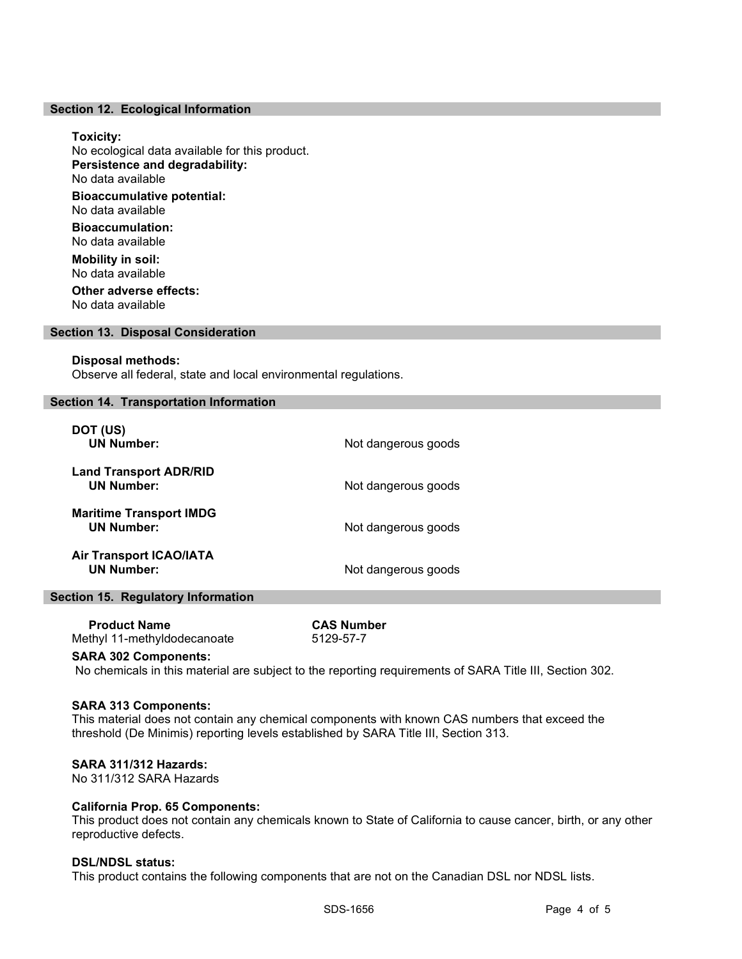#### Section 12. Ecological Information

#### Toxicity:

No ecological data available for this product. Persistence and degradability: No data available Bioaccumulative potential: No data available

Bioaccumulation: No data available

Mobility in soil: No data available Other adverse effects:

No data available

#### Section 13. Disposal Consideration

#### Disposal methods:

Observe all federal, state and local environmental regulations.

#### Section 14. Transportation Information

| DOT (US)<br><b>UN Number:</b>                       | Not dangerous goods |
|-----------------------------------------------------|---------------------|
| <b>Land Transport ADR/RID</b><br><b>UN Number:</b>  | Not dangerous goods |
| <b>Maritime Transport IMDG</b><br><b>UN Number:</b> | Not dangerous goods |
| <b>Air Transport ICAO/IATA</b><br><b>UN Number:</b> | Not dangerous goods |

# Section 15. Regulatory Information

| <b>Product Name</b>         |  |
|-----------------------------|--|
| Methyl 11-methyldodecanoate |  |

**CAS Number** 5129-57-7

#### SARA 302 Components:

No chemicals in this material are subject to the reporting requirements of SARA Title III, Section 302.

#### SARA 313 Components:

This material does not contain any chemical components with known CAS numbers that exceed the threshold (De Minimis) reporting levels established by SARA Title III, Section 313.

#### SARA 311/312 Hazards:

No 311/312 SARA Hazards

#### California Prop. 65 Components:

This product does not contain any chemicals known to State of California to cause cancer, birth, or any other reproductive defects.

#### DSL/NDSL status:

This product contains the following components that are not on the Canadian DSL nor NDSL lists.